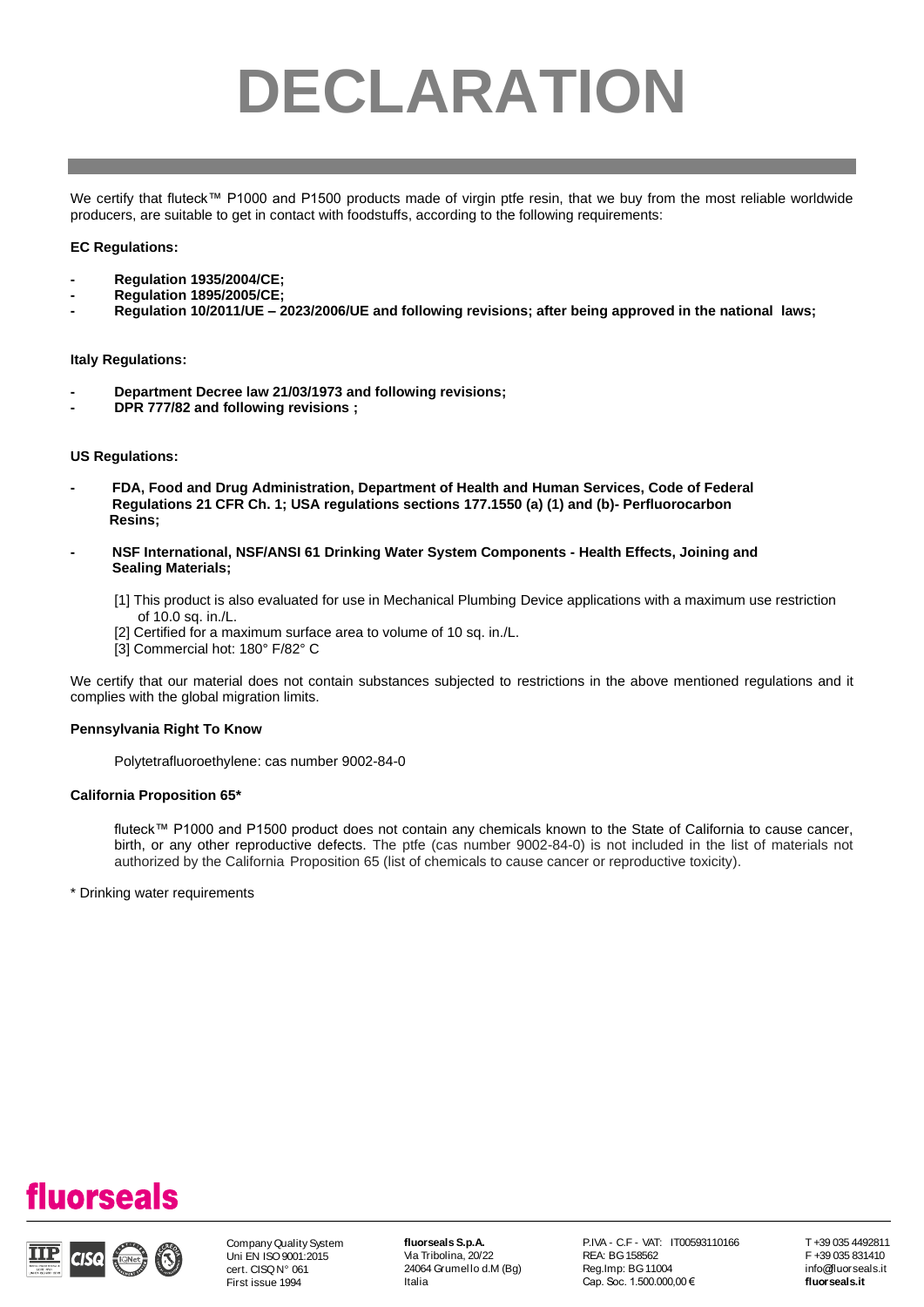# **DECLARATION**

We certify that fluteck™ P1000 and P1500 products made of virgin ptfe resin, that we buy from the most reliable worldwide producers, are suitable to get in contact with foodstuffs, according to the following requirements:

# **EC Regulations:**

- **- Regulation 1935/2004/CE;**
- **- Regulation 1895/2005/CE;**
- **- Regulation 10/2011/UE – 2023/2006/UE and following revisions; after being approved in the national laws;**

### **Italy Regulations:**

- **- Department Decree law 21/03/1973 and following revisions;**
- **- DPR 777/82 and following revisions ;**

### **US Regulations:**

- **- FDA, Food and Drug Administration, Department of Health and Human Services, Code of Federal Regulations 21 CFR Ch. 1; USA regulations sections 177.1550 (a) (1) and (b)- Perfluorocarbon Resins;**
- **- NSF International, NSF/ANSI 61 Drinking Water System Components - Health Effects, Joining and Sealing Materials;**
	- [1] This product is also evaluated for use in Mechanical Plumbing Device applications with a maximum use restriction of 10.0 sq. in./L.
	- [2] Certified for a maximum surface area to volume of 10 sq. in./L.
	- [3] Commercial hot: 180° F/82° C

We certify that our material does not contain substances subjected to restrictions in the above mentioned regulations and it complies with the global migration limits.

# **Pennsylvania Right To Know**

Polytetrafluoroethylene: cas number 9002-84-0

### **California Proposition 65\***

fluteck™ P1000 and P1500 product does not contain any chemicals known to the State of California to cause cancer, birth, or any other reproductive defects. The ptfe (cas number 9002-84-0) is not included in the list of materials not authorized by the California Proposition 65 (list of chemicals to cause cancer or reproductive toxicity).

\* Drinking water requirements





Company Quality System Uni EN ISO 9001:2015 cert. CISQ N° 061 First issue 1994

**fluorseals S.p.A.** Via Tribolina, 20/22 24064 Grumel lo d.M (Bg) Italia

P.IVA - C.F - VAT: IT00593110166 REA: BG 158562 Reg.Imp: BG 11004 Cap. Soc. 1.500.000,00 €

T +39 035 4492811 F +39 035 831410 i nfo@fluorseals.it **fluorseals.it**